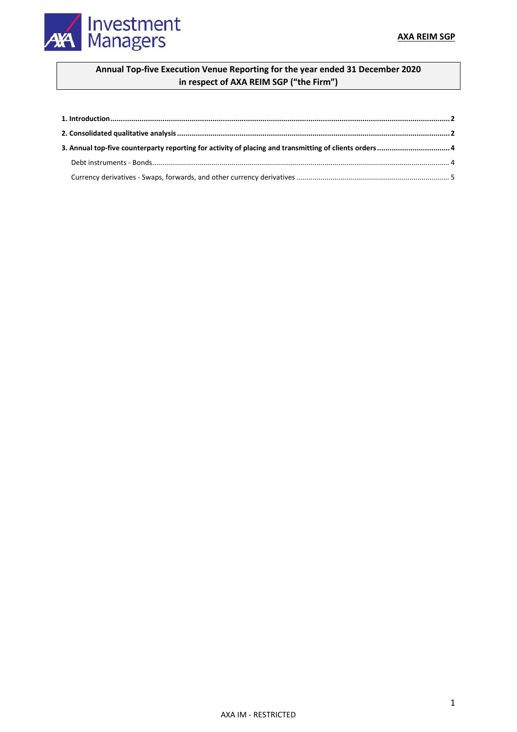

# **Annual Top-five Execution Venue Reporting for the year ended 31 December 2020 in respect of AXA REIM SGP ("the Firm")**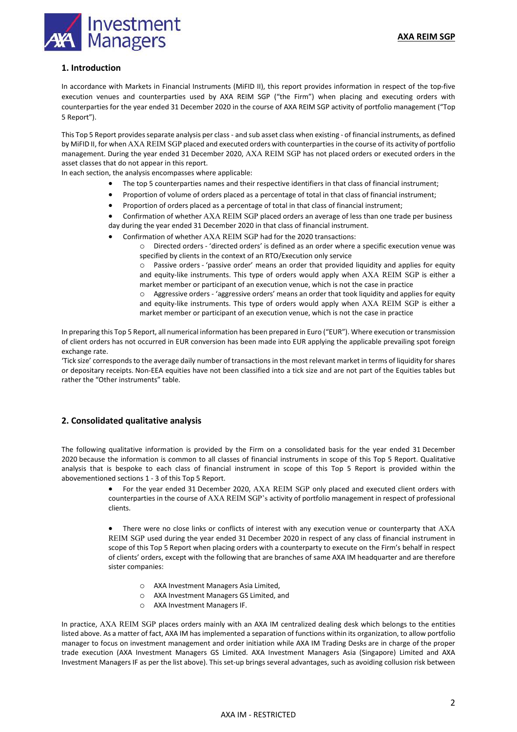

## **1. Introduction**

In accordance with Markets in Financial Instruments (MiFID II), this report provides information in respect of the top-five execution venues and counterparties used by AXA REIM SGP ("the Firm") when placing and executing orders with counterparties for the year ended 31 December 2020 in the course of AXA REIM SGP activity of portfolio management ("Top 5 Report").

This Top 5 Report provides separate analysis per class - and sub asset class when existing - of financial instruments, as defined by MiFID II, for when AXA REIM SGP placed and executed orders with counterparties in the course of its activity of portfolio management. During the year ended 31 December 2020, AXA REIM SGP has not placed orders or executed orders in the asset classes that do not appear in this report.

In each section, the analysis encompasses where applicable:

- The top 5 counterparties names and their respective identifiers in that class of financial instrument;
- Proportion of volume of orders placed as a percentage of total in that class of financial instrument;
- Proportion of orders placed as a percentage of total in that class of financial instrument;

 Confirmation of whether AXA REIM SGP placed orders an average of less than one trade per business day during the year ended 31 December 2020 in that class of financial instrument.

- Confirmation of whether AXA REIM SGP had for the 2020 transactions:
	- o Directed orders 'directed orders' is defined as an order where a specific execution venue was specified by clients in the context of an RTO/Execution only service

o Passive orders - 'passive order' means an order that provided liquidity and applies for equity and equity-like instruments. This type of orders would apply when AXA REIM SGP is either a market member or participant of an execution venue, which is not the case in practice

o Aggressive orders - 'aggressive orders' means an order that took liquidity and applies for equity and equity-like instruments. This type of orders would apply when AXA REIM SGP is either a market member or participant of an execution venue, which is not the case in practice

In preparing this Top 5 Report, all numerical information has been prepared in Euro ("EUR"). Where execution or transmission of client orders has not occurred in EUR conversion has been made into EUR applying the applicable prevailing spot foreign exchange rate.

'Tick size' corresponds to the average daily number of transactions in the most relevant market in terms of liquidity for shares or depositary receipts. Non-EEA equities have not been classified into a tick size and are not part of the Equities tables but rather the "Other instruments" table.

## **2. Consolidated qualitative analysis**

The following qualitative information is provided by the Firm on a consolidated basis for the year ended 31 December 2020 because the information is common to all classes of financial instruments in scope of this Top 5 Report. Qualitative analysis that is bespoke to each class of financial instrument in scope of this Top 5 Report is provided within the abovementioned sections 1 - 3 of this Top 5 Report.

> For the year ended 31 December 2020, AXA REIM SGP only placed and executed client orders with counterparties in the course of AXA REIM SGP's activity of portfolio management in respect of professional clients.

> There were no close links or conflicts of interest with any execution venue or counterparty that AXA REIM SGP used during the year ended 31 December 2020 in respect of any class of financial instrument in scope of this Top 5 Report when placing orders with a counterparty to execute on the Firm's behalf in respect of clients' orders, except with the following that are branches of same AXA IM headquarter and are therefore sister companies:

- o AXA Investment Managers Asia Limited,
- o AXA Investment Managers GS Limited, and
- o AXA Investment Managers IF.

In practice, AXA REIM SGP places orders mainly with an AXA IM centralized dealing desk which belongs to the entities listed above. As a matter of fact, AXA IM has implemented a separation of functions within its organization, to allow portfolio manager to focus on investment management and order initiation while AXA IM Trading Desks are in charge of the proper trade execution (AXA Investment Managers GS Limited. AXA Investment Managers Asia (Singapore) Limited and AXA Investment Managers IF as per the list above). This set-up brings several advantages, such as avoiding collusion risk between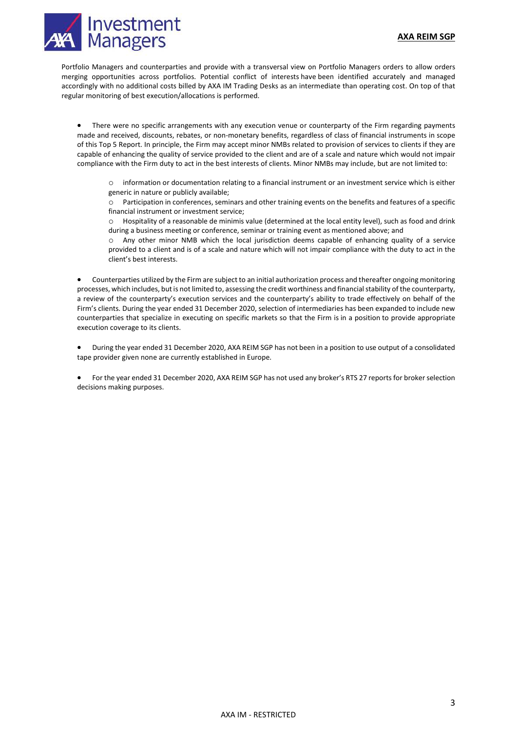### **AXA REIM SGP**



Portfolio Managers and counterparties and provide with a transversal view on Portfolio Managers orders to allow orders merging opportunities across portfolios. Potential conflict of interests have been identified accurately and managed accordingly with no additional costs billed by AXA IM Trading Desks as an intermediate than operating cost. On top of that regular monitoring of best execution/allocations is performed.

 There were no specific arrangements with any execution venue or counterparty of the Firm regarding payments made and received, discounts, rebates, or non-monetary benefits, regardless of class of financial instruments in scope of this Top 5 Report. In principle, the Firm may accept minor NMBs related to provision of services to clients if they are capable of enhancing the quality of service provided to the client and are of a scale and nature which would not impair compliance with the Firm duty to act in the best interests of clients. Minor NMBs may include, but are not limited to:

o information or documentation relating to a financial instrument or an investment service which is either generic in nature or publicly available;

o Participation in conferences, seminars and other training events on the benefits and features of a specific financial instrument or investment service;

o Hospitality of a reasonable de minimis value (determined at the local entity level), such as food and drink during a business meeting or conference, seminar or training event as mentioned above; and

o Any other minor NMB which the local jurisdiction deems capable of enhancing quality of a service provided to a client and is of a scale and nature which will not impair compliance with the duty to act in the client's best interests.

 Counterparties utilized by the Firm are subject to an initial authorization process and thereafter ongoing monitoring processes, which includes, but is not limited to, assessing the credit worthiness and financial stability of the counterparty, a review of the counterparty's execution services and the counterparty's ability to trade effectively on behalf of the Firm's clients. During the year ended 31 December 2020, selection of intermediaries has been expanded to include new counterparties that specialize in executing on specific markets so that the Firm is in a position to provide appropriate execution coverage to its clients.

 During the year ended 31 December 2020, AXA REIM SGP has not been in a position to use output of a consolidated tape provider given none are currently established in Europe.

 For the year ended 31 December 2020, AXA REIM SGP has not used any broker's RTS 27 reports for broker selection decisions making purposes.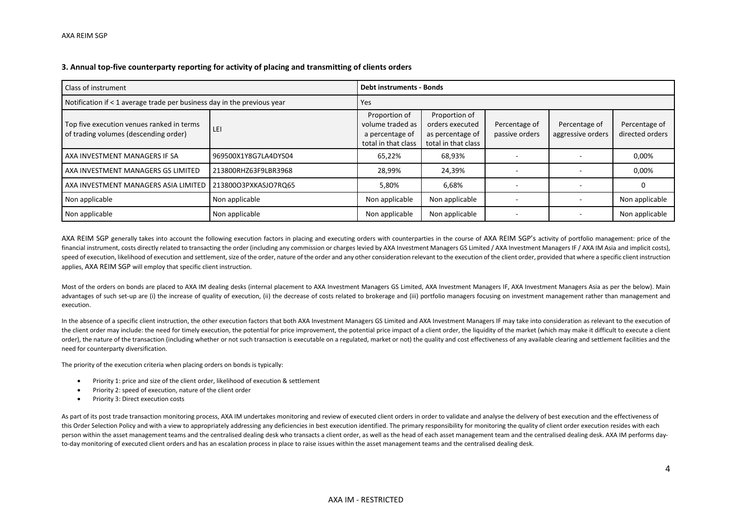#### **3. Annual top-five counterparty reporting for activity of placing and transmitting of clients orders**

| Class of instrument                                                                |                      | <b>Debt instruments - Bonds</b>                                             |                                                                             |                                 |                                    |                                  |  |
|------------------------------------------------------------------------------------|----------------------|-----------------------------------------------------------------------------|-----------------------------------------------------------------------------|---------------------------------|------------------------------------|----------------------------------|--|
| Notification if < 1 average trade per business day in the previous year            |                      | Yes                                                                         |                                                                             |                                 |                                    |                                  |  |
| Top five execution venues ranked in terms<br>of trading volumes (descending order) | l lei                | Proportion of<br>volume traded as<br>a percentage of<br>total in that class | Proportion of<br>orders executed<br>as percentage of<br>total in that class | Percentage of<br>passive orders | Percentage of<br>aggressive orders | Percentage of<br>directed orders |  |
| AXA INVESTMENT MANAGERS IF SA                                                      | 969500X1Y8G7LA4DYS04 | 65,22%                                                                      | 68,93%                                                                      |                                 |                                    | 0,00%                            |  |
| AXA INVESTMENT MANAGERS GS LIMITED                                                 | 213800RHZ63F9LBR3968 | 28,99%                                                                      | 24,39%                                                                      |                                 |                                    | 0,00%                            |  |
| AXA INVESTMENT MANAGERS ASIA LIMITED                                               | 213800O3PXKASJO7RQ65 | 5,80%                                                                       | 6,68%                                                                       |                                 |                                    |                                  |  |
| Non applicable                                                                     | Non applicable       | Non applicable                                                              | Non applicable                                                              |                                 |                                    | Non applicable                   |  |
| Non applicable                                                                     | Non applicable       | Non applicable                                                              | Non applicable                                                              |                                 |                                    | Non applicable                   |  |

AXA REIM SGP generally takes into account the following execution factors in placing and executing orders with counterparties in the course of AXA REIM SGP's activity of portfolio management: price of the financial instrument, costs directly related to transacting the order (including any commission or charges levied by AXA Investment Managers GS Limited / AXA Investment Managers IF / AXA IM Asia and implicit costs), speed of execution, likelihood of execution and settlement, size of the order, nature of the order and any other consideration relevant to the execution of the client order, provided that where a specific client instructio applies, AXA REIM SGP will employ that specific client instruction.

Most of the orders on bonds are placed to AXA IM dealing desks (internal placement to AXA Investment Managers GS Limited, AXA Investment Managers IF, AXA Investment Managers Asia as per the below). Main advantages of such set-up are (i) the increase of quality of execution, (ii) the decrease of costs related to brokerage and (iii) portfolio managers focusing on investment management rather than management and execution.

In the absence of a specific client instruction, the other execution factors that both AXA Investment Managers GS Limited and AXA Investment Managers IF may take into consideration as relevant to the execution of the client order may include: the need for timely execution, the potential for price improvement, the potential price impact of a client order, the liquidity of the market (which may make it difficult to execute a client order), the nature of the transaction (including whether or not such transaction is executable on a regulated, market or not) the quality and cost effectiveness of any available clearing and settlement facilities and the need for counterparty diversification.

The priority of the execution criteria when placing orders on bonds is typically:

- Priority 1: price and size of the client order, likelihood of execution & settlement
- $\bullet$ Priority 2: speed of execution, nature of the client order
- $\bullet$ Priority 3: Direct execution costs

As part of its post trade transaction monitoring process, AXA IM undertakes monitoring and review of executed client orders in order to validate and analyse the delivery of best execution and the effectiveness of this Order Selection Policy and with a view to appropriately addressing any deficiencies in best execution identified. The primary responsibility for monitoring the quality of client order execution resides with each person within the asset management teams and the centralised dealing desk who transacts a client order, as well as the head of each asset management team and the centralised dealing desk. AXA IM performs dayto-day monitoring of executed client orders and has an escalation process in place to raise issues within the asset management teams and the centralised dealing desk.